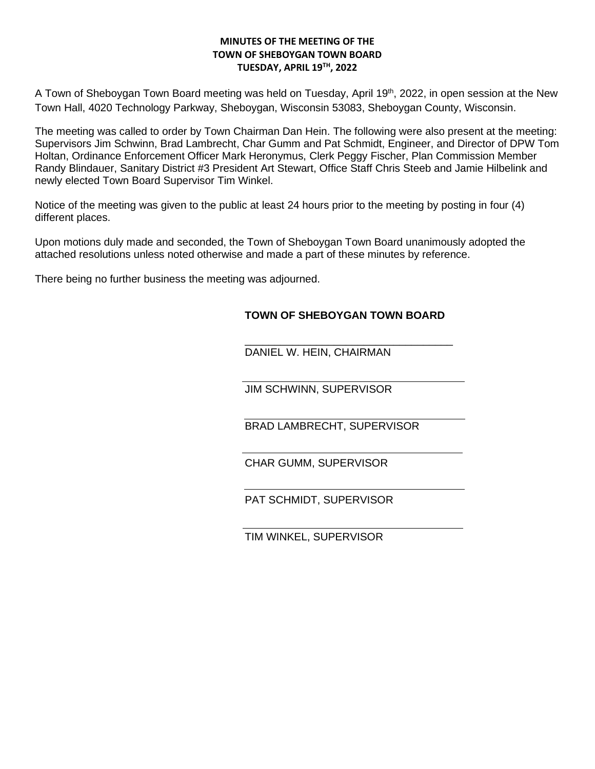## **MINUTES OF THE MEETING OF THE TOWN OF SHEBOYGAN TOWN BOARD TUESDAY, APRIL 19TH, 2022**

A Town of Sheboygan Town Board meeting was held on Tuesday, April 19<sup>th</sup>, 2022, in open session at the New Town Hall, 4020 Technology Parkway, Sheboygan, Wisconsin 53083, Sheboygan County, Wisconsin.

The meeting was called to order by Town Chairman Dan Hein. The following were also present at the meeting: Supervisors Jim Schwinn, Brad Lambrecht, Char Gumm and Pat Schmidt, Engineer, and Director of DPW Tom Holtan, Ordinance Enforcement Officer Mark Heronymus, Clerk Peggy Fischer, Plan Commission Member Randy Blindauer, Sanitary District #3 President Art Stewart, Office Staff Chris Steeb and Jamie Hilbelink and newly elected Town Board Supervisor Tim Winkel.

Notice of the meeting was given to the public at least 24 hours prior to the meeting by posting in four (4) different places.

Upon motions duly made and seconded, the Town of Sheboygan Town Board unanimously adopted the attached resolutions unless noted otherwise and made a part of these minutes by reference.

There being no further business the meeting was adjourned.

## **TOWN OF SHEBOYGAN TOWN BOARD**

\_\_\_\_\_\_\_\_\_\_\_\_\_\_\_\_\_\_\_\_\_\_\_\_\_\_\_\_\_\_\_\_\_\_\_ DANIEL W. HEIN, CHAIRMAN

JIM SCHWINN, SUPERVISOR

BRAD LAMBRECHT, SUPERVISOR

CHAR GUMM, SUPERVISOR

PAT SCHMIDT, SUPERVISOR

TIM WINKEL, SUPERVISOR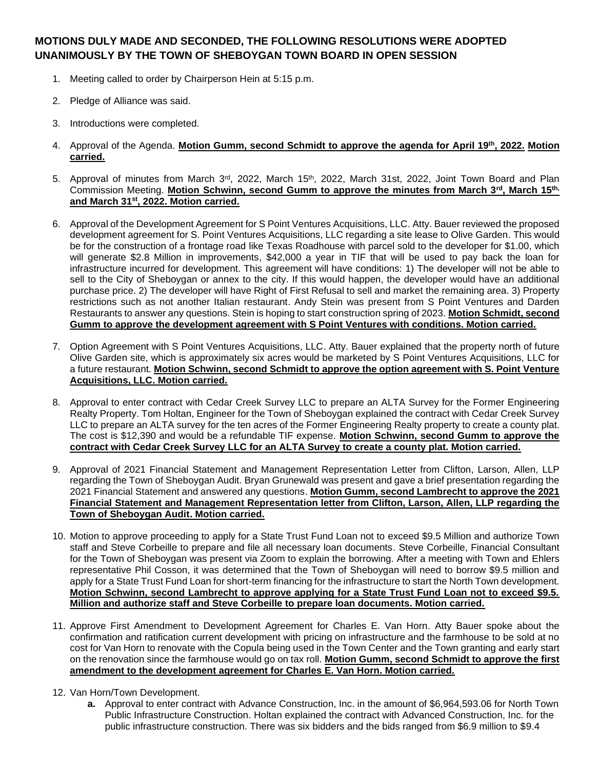## **MOTIONS DULY MADE AND SECONDED, THE FOLLOWING RESOLUTIONS WERE ADOPTED UNANIMOUSLY BY THE TOWN OF SHEBOYGAN TOWN BOARD IN OPEN SESSION**

- 1. Meeting called to order by Chairperson Hein at 5:15 p.m.
- 2. Pledge of Alliance was said.
- 3. Introductions were completed.
- 4. Approval of the Agenda. **Motion Gumm, second Schmidt to approve the agenda for April 19th , 2022. Motion carried.**
- 5. Approval of minutes from March  $3^{rd}$ , 2022, March  $15^{th}$ , 2022, March 31st, 2022, Joint Town Board and Plan Commission Meeting. **Motion Schwinn, second Gumm to approve the minutes from March 3rd, March 15th, and March 31st, 2022. Motion carried.**
- 6. Approval of the Development Agreement for S Point Ventures Acquisitions, LLC. Atty. Bauer reviewed the proposed development agreement for S. Point Ventures Acquisitions, LLC regarding a site lease to Olive Garden. This would be for the construction of a frontage road like Texas Roadhouse with parcel sold to the developer for \$1.00, which will generate \$2.8 Million in improvements, \$42,000 a year in TIF that will be used to pay back the loan for infrastructure incurred for development. This agreement will have conditions: 1) The developer will not be able to sell to the City of Sheboygan or annex to the city. If this would happen, the developer would have an additional purchase price. 2) The developer will have Right of First Refusal to sell and market the remaining area. 3) Property restrictions such as not another Italian restaurant. Andy Stein was present from S Point Ventures and Darden Restaurants to answer any questions. Stein is hoping to start construction spring of 2023. **Motion Schmidt, second Gumm to approve the development agreement with S Point Ventures with conditions. Motion carried.**
- 7. Option Agreement with S Point Ventures Acquisitions, LLC. Atty. Bauer explained that the property north of future Olive Garden site, which is approximately six acres would be marketed by S Point Ventures Acquisitions, LLC for a future restaurant. **Motion Schwinn, second Schmidt to approve the option agreement with S. Point Venture Acquisitions, LLC. Motion carried.**
- 8. Approval to enter contract with Cedar Creek Survey LLC to prepare an ALTA Survey for the Former Engineering Realty Property. Tom Holtan, Engineer for the Town of Sheboygan explained the contract with Cedar Creek Survey LLC to prepare an ALTA survey for the ten acres of the Former Engineering Realty property to create a county plat. The cost is \$12,390 and would be a refundable TIF expense. **Motion Schwinn, second Gumm to approve the contract with Cedar Creek Survey LLC for an ALTA Survey to create a county plat. Motion carried.**
- 9. Approval of 2021 Financial Statement and Management Representation Letter from Clifton, Larson, Allen, LLP regarding the Town of Sheboygan Audit. Bryan Grunewald was present and gave a brief presentation regarding the 2021 Financial Statement and answered any questions. **Motion Gumm, second Lambrecht to approve the 2021 Financial Statement and Management Representation letter from Clifton, Larson, Allen, LLP regarding the Town of Sheboygan Audit. Motion carried.**
- 10. Motion to approve proceeding to apply for a State Trust Fund Loan not to exceed \$9.5 Million and authorize Town staff and Steve Corbeille to prepare and file all necessary loan documents. Steve Corbeille, Financial Consultant for the Town of Sheboygan was present via Zoom to explain the borrowing. After a meeting with Town and Ehlers representative Phil Cosson, it was determined that the Town of Sheboygan will need to borrow \$9.5 million and apply for a State Trust Fund Loan for short-term financing for the infrastructure to start the North Town development. **Motion Schwinn, second Lambrecht to approve applying for a State Trust Fund Loan not to exceed \$9.5. Million and authorize staff and Steve Corbeille to prepare loan documents. Motion carried.**
- 11. Approve First Amendment to Development Agreement for Charles E. Van Horn. Atty Bauer spoke about the confirmation and ratification current development with pricing on infrastructure and the farmhouse to be sold at no cost for Van Horn to renovate with the Copula being used in the Town Center and the Town granting and early start on the renovation since the farmhouse would go on tax roll. **Motion Gumm, second Schmidt to approve the first amendment to the development agreement for Charles E. Van Horn. Motion carried.**
- 12. Van Horn/Town Development.
	- **a.** Approval to enter contract with Advance Construction, Inc. in the amount of \$6,964,593.06 for North Town Public Infrastructure Construction. Holtan explained the contract with Advanced Construction, Inc. for the public infrastructure construction. There was six bidders and the bids ranged from \$6.9 million to \$9.4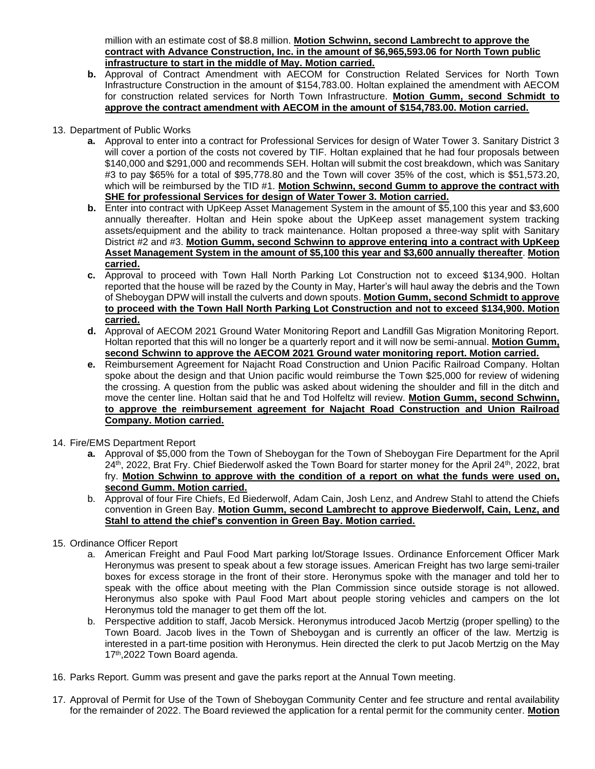million with an estimate cost of \$8.8 million. **Motion Schwinn, second Lambrecht to approve the contract with Advance Construction, Inc. in the amount of \$6,965,593.06 for North Town public infrastructure to start in the middle of May. Motion carried.**

- **b.** Approval of Contract Amendment with AECOM for Construction Related Services for North Town Infrastructure Construction in the amount of \$154,783.00. Holtan explained the amendment with AECOM for construction related services for North Town Infrastructure. **Motion Gumm, second Schmidt to approve the contract amendment with AECOM in the amount of \$154,783.00. Motion carried.**
- 13. Department of Public Works
	- **a.** Approval to enter into a contract for Professional Services for design of Water Tower 3. Sanitary District 3 will cover a portion of the costs not covered by TIF. Holtan explained that he had four proposals between \$140,000 and \$291,000 and recommends SEH. Holtan will submit the cost breakdown, which was Sanitary #3 to pay \$65% for a total of \$95,778.80 and the Town will cover 35% of the cost, which is \$51,573.20, which will be reimbursed by the TID #1. **Motion Schwinn, second Gumm to approve the contract with SHE for professional Services for design of Water Tower 3. Motion carried.**
	- **b.** Enter into contract with UpKeep Asset Management System in the amount of \$5,100 this year and \$3,600 annually thereafter. Holtan and Hein spoke about the UpKeep asset management system tracking assets/equipment and the ability to track maintenance. Holtan proposed a three-way split with Sanitary District #2 and #3. **Motion Gumm, second Schwinn to approve entering into a contract with UpKeep Asset Management System in the amount of \$5,100 this year and \$3,600 annually thereafter**. **Motion carried.**
	- **c.** Approval to proceed with Town Hall North Parking Lot Construction not to exceed \$134,900. Holtan reported that the house will be razed by the County in May, Harter's will haul away the debris and the Town of Sheboygan DPW will install the culverts and down spouts. **Motion Gumm, second Schmidt to approve to proceed with the Town Hall North Parking Lot Construction and not to exceed \$134,900. Motion carried.**
	- **d.** Approval of AECOM 2021 Ground Water Monitoring Report and Landfill Gas Migration Monitoring Report. Holtan reported that this will no longer be a quarterly report and it will now be semi-annual. **Motion Gumm, second Schwinn to approve the AECOM 2021 Ground water monitoring report. Motion carried.**
	- **e.** Reimbursement Agreement for Najacht Road Construction and Union Pacific Railroad Company. Holtan spoke about the design and that Union pacific would reimburse the Town \$25,000 for review of widening the crossing. A question from the public was asked about widening the shoulder and fill in the ditch and move the center line. Holtan said that he and Tod Holfeltz will review. **Motion Gumm, second Schwinn, to approve the reimbursement agreement for Najacht Road Construction and Union Railroad Company. Motion carried.**
- 14. Fire/EMS Department Report
	- **a.** Approval of \$5,000 from the Town of Sheboygan for the Town of Sheboygan Fire Department for the April 24th, 2022, Brat Fry. Chief Biederwolf asked the Town Board for starter money for the April 24th, 2022, brat fry. **Motion Schwinn to approve with the condition of a report on what the funds were used on, second Gumm. Motion carried.**
	- b. Approval of four Fire Chiefs, Ed Biederwolf, Adam Cain, Josh Lenz, and Andrew Stahl to attend the Chiefs convention in Green Bay. **Motion Gumm, second Lambrecht to approve Biederwolf, Cain, Lenz, and Stahl to attend the chief's convention in Green Bay. Motion carried.**
- 15. Ordinance Officer Report
	- a. American Freight and Paul Food Mart parking lot/Storage Issues. Ordinance Enforcement Officer Mark Heronymus was present to speak about a few storage issues. American Freight has two large semi-trailer boxes for excess storage in the front of their store. Heronymus spoke with the manager and told her to speak with the office about meeting with the Plan Commission since outside storage is not allowed. Heronymus also spoke with Paul Food Mart about people storing vehicles and campers on the lot Heronymus told the manager to get them off the lot.
	- b. Perspective addition to staff, Jacob Mersick. Heronymus introduced Jacob Mertzig (proper spelling) to the Town Board. Jacob lives in the Town of Sheboygan and is currently an officer of the law. Mertzig is interested in a part-time position with Heronymus. Hein directed the clerk to put Jacob Mertzig on the May 17<sup>th</sup>,2022 Town Board agenda.
- 16. Parks Report. Gumm was present and gave the parks report at the Annual Town meeting.
- 17. Approval of Permit for Use of the Town of Sheboygan Community Center and fee structure and rental availability for the remainder of 2022. The Board reviewed the application for a rental permit for the community center. **Motion**